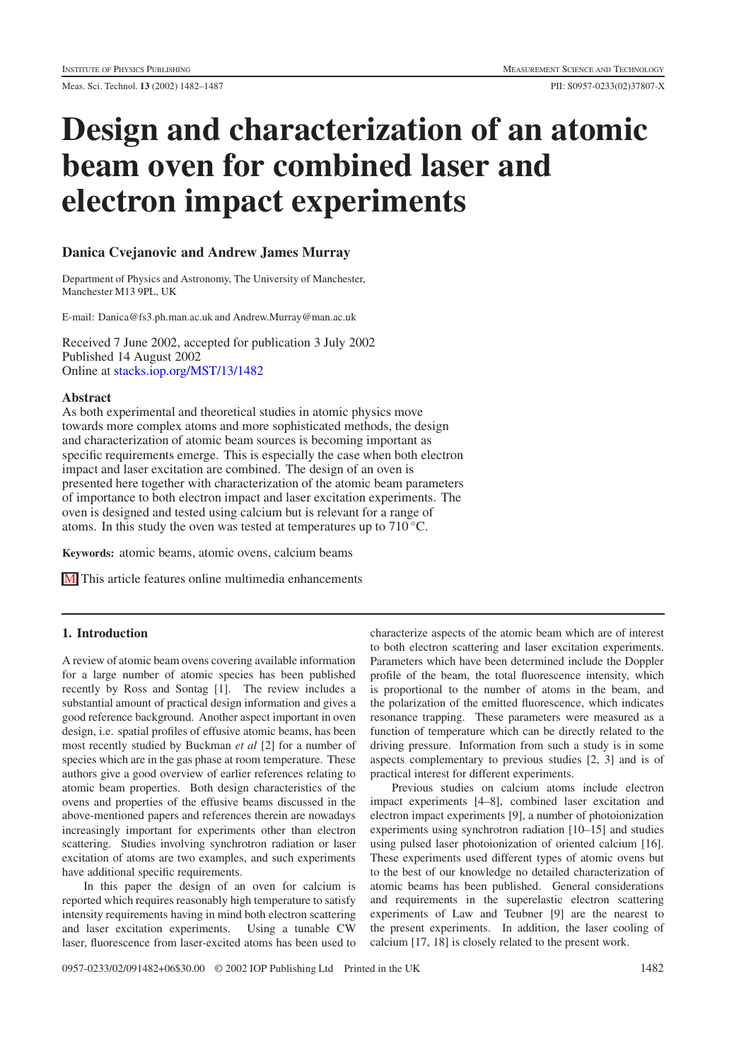# **Design and characterization of an atomic beam oven for combined laser and electron impact experiments**

## **Danica Cvejanovic and Andrew James Murray**

Department of Physics and Astronomy, The University of Manchester, Manchester M13 9PL, UK

E-mail: Danica@fs3.ph.man.ac.uk and Andrew.Murray@man.ac.uk

Received 7 June 2002, accepted for publication 3 July 2002 Published 14 August 2002 Online at [stacks.iop.org/MST/13/1482](http:// stacks.iop.org/MST/13/1482)

## **Abstract**

As both experimental and theoretical studies in atomic physics move towards more complex atoms and more sophisticated methods, the design and characterization of atomic beam sources is becoming important as specific requirements emerge. This is especially the case when both electron impact and laser excitation are combined. The design of an oven is presented here together with characterization of the atomic beam parameters of importance to both electron impact and laser excitation experiments. The oven is designed and tested using calcium but is relevant for a range of atoms. In this study the oven was tested at temperatures up to  $710^{\circ}$ C.

**Keywords:** atomic beams, atomic ovens, calcium beams

M This article features online multimedia enhancements

## **1. Introduction**

A review of atomic beam ovens covering available information for a large number of atomic species has been published recently by Ross and Sontag [1]. The review includes a substantial amount of practical design information and gives a good reference background. Another aspect important in oven design, i.e. spatial profiles of effusive atomic beams, has been most recently studied by Buckman *et al* [2] for a number of species which are in the gas phase at room temperature. These authors give a good overview of earlier references relating to atomic beam properties. Both design characteristics of the ovens and properties of the effusive beams discussed in the above-mentioned papers and references therein are nowadays increasingly important for experiments other than electron scattering. Studies involving synchrotron radiation or laser excitation of atoms are two examples, and such experiments have additional specific requirements.

In this paper the design of an oven for calcium is reported which requires reasonably high temperature to satisfy intensity requirements having in mind both electron scattering and laser excitation experiments. Using a tunable CW laser, fluorescence from laser-excited atoms has been used to

characterize aspects of the atomic beam which are of interest to both electron scattering and laser excitation experiments. Parameters which have been determined include the Doppler profile of the beam, the total fluorescence intensity, which is proportional to the number of atoms in the beam, and the polarization of the emitted fluorescence, which indicates resonance trapping. These parameters were measured as a function of temperature which can be directly related to the driving pressure. Information from such a study is in some aspects complementary to previous studies [2, 3] and is of practical interest for different experiments.

Previous studies on calcium atoms include electron impact experiments [4–8], combined laser excitation and electron impact experiments [9], a number of photoionization experiments using synchrotron radiation [10–15] and studies using pulsed laser photoionization of oriented calcium [16]. These experiments used different types of atomic ovens but to the best of our knowledge no detailed characterization of atomic beams has been published. General considerations and requirements in the superelastic electron scattering experiments of Law and Teubner [9] are the nearest to the present experiments. In addition, the laser cooling of calcium [17, 18] is closely related to the present work.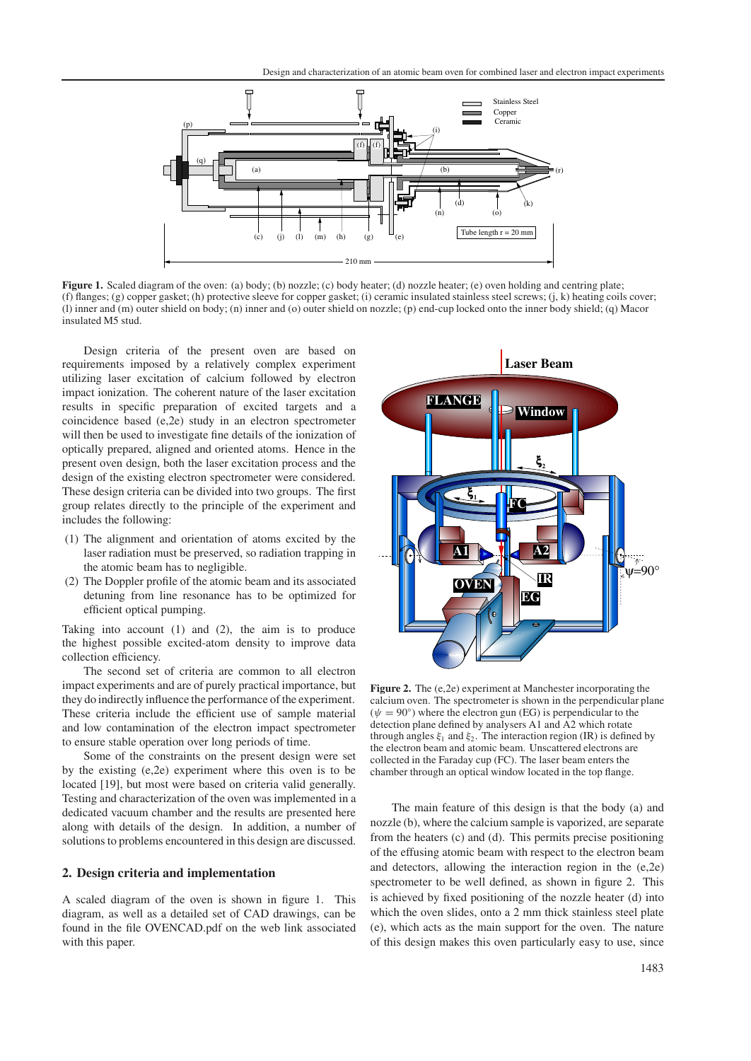

**Figure 1.** Scaled diagram of the oven: (a) body; (b) nozzle; (c) body heater; (d) nozzle heater; (e) oven holding and centring plate; (f) flanges; (g) copper gasket; (h) protective sleeve for copper gasket; (i) ceramic insulated stainless steel screws; (j, k) heating coils cover; (l) inner and (m) outer shield on body; (n) inner and (o) outer shield on nozzle; (p) end-cup locked onto the inner body shield; (q) Macor insulated M5 stud.

Design criteria of the present oven are based on requirements imposed by a relatively complex experiment utilizing laser excitation of calcium followed by electron impact ionization. The coherent nature of the laser excitation results in specific preparation of excited targets and a coincidence based (e,2e) study in an electron spectrometer will then be used to investigate fine details of the ionization of optically prepared, aligned and oriented atoms. Hence in the present oven design, both the laser excitation process and the design of the existing electron spectrometer were considered. These design criteria can be divided into two groups. The first group relates directly to the principle of the experiment and includes the following:

- (1) The alignment and orientation of atoms excited by the laser radiation must be preserved, so radiation trapping in the atomic beam has to negligible.
- (2) The Doppler profile of the atomic beam and its associated detuning from line resonance has to be optimized for efficient optical pumping.

Taking into account (1) and (2), the aim is to produce the highest possible excited-atom density to improve data collection efficiency.

The second set of criteria are common to all electron impact experiments and are of purely practical importance, but they do indirectly influence the performance of the experiment. These criteria include the efficient use of sample material and low contamination of the electron impact spectrometer to ensure stable operation over long periods of time.

Some of the constraints on the present design were set by the existing (e,2e) experiment where this oven is to be located [19], but most were based on criteria valid generally. Testing and characterization of the oven was implemented in a dedicated vacuum chamber and the results are presented here along with details of the design. In addition, a number of solutions to problems encountered in this design are discussed.

#### **2. Design criteria and implementation**

A scaled diagram of the oven is shown in figure 1. This diagram, as well as a detailed set of CAD drawings, can be found in the file OVENCAD.pdf on the web link associated with this paper.



**Figure 2.** The (e,2e) experiment at Manchester incorporating the calcium oven. The spectrometer is shown in the perpendicular plane  $(\psi = 90^{\circ})$  where the electron gun (EG) is perpendicular to the detection plane defined by analysers A1 and A2 which rotate through angles  $\xi_1$  and  $\xi_2$ . The interaction region (IR) is defined by the electron beam and atomic beam. Unscattered electrons are collected in the Faraday cup (FC). The laser beam enters the chamber through an optical window located in the top flange.

The main feature of this design is that the body (a) and nozzle (b), where the calcium sample is vaporized, are separate from the heaters (c) and (d). This permits precise positioning of the effusing atomic beam with respect to the electron beam and detectors, allowing the interaction region in the (e,2e) spectrometer to be well defined, as shown in figure 2. This is achieved by fixed positioning of the nozzle heater (d) into which the oven slides, onto a 2 mm thick stainless steel plate (e), which acts as the main support for the oven. The nature of this design makes this oven particularly easy to use, since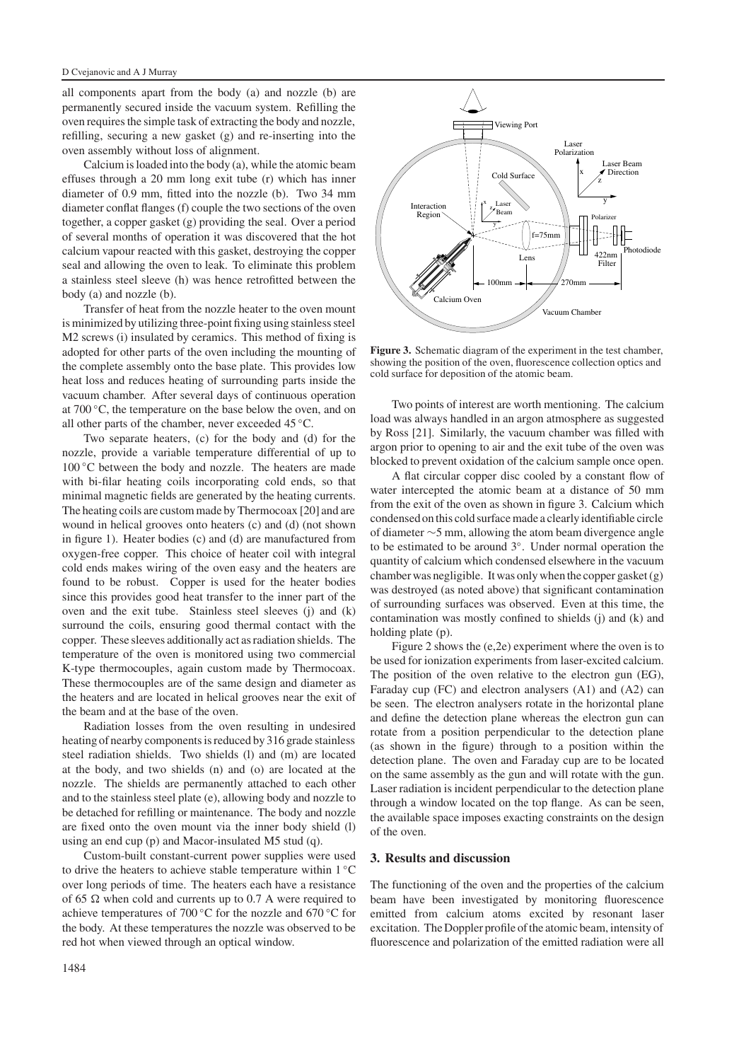all components apart from the body (a) and nozzle (b) are permanently secured inside the vacuum system. Refilling the oven requires the simple task of extracting the body and nozzle, refilling, securing a new gasket (g) and re-inserting into the oven assembly without loss of alignment.

Calcium is loaded into the body (a), while the atomic beam effuses through a 20 mm long exit tube (r) which has inner diameter of 0.9 mm, fitted into the nozzle (b). Two 34 mm diameter conflat flanges (f) couple the two sections of the oven together, a copper gasket (g) providing the seal. Over a period of several months of operation it was discovered that the hot calcium vapour reacted with this gasket, destroying the copper seal and allowing the oven to leak. To eliminate this problem a stainless steel sleeve (h) was hence retrofitted between the body (a) and nozzle (b).

Transfer of heat from the nozzle heater to the oven mount is minimized by utilizing three-point fixing using stainless steel M2 screws (i) insulated by ceramics. This method of fixing is adopted for other parts of the oven including the mounting of the complete assembly onto the base plate. This provides low heat loss and reduces heating of surrounding parts inside the vacuum chamber. After several days of continuous operation at 700 ◦C, the temperature on the base below the oven, and on all other parts of the chamber, never exceeded 45 ◦C.

Two separate heaters, (c) for the body and (d) for the nozzle, provide a variable temperature differential of up to 100 ◦C between the body and nozzle. The heaters are made with bi-filar heating coils incorporating cold ends, so that minimal magnetic fields are generated by the heating currents. The heating coils are custom made by Thermocoax [20] and are wound in helical grooves onto heaters (c) and (d) (not shown in figure 1). Heater bodies (c) and (d) are manufactured from oxygen-free copper. This choice of heater coil with integral cold ends makes wiring of the oven easy and the heaters are found to be robust. Copper is used for the heater bodies since this provides good heat transfer to the inner part of the oven and the exit tube. Stainless steel sleeves (j) and (k) surround the coils, ensuring good thermal contact with the copper. These sleeves additionally act as radiation shields. The temperature of the oven is monitored using two commercial K-type thermocouples, again custom made by Thermocoax. These thermocouples are of the same design and diameter as the heaters and are located in helical grooves near the exit of the beam and at the base of the oven.

Radiation losses from the oven resulting in undesired heating of nearby components is reduced by 316 grade stainless steel radiation shields. Two shields (l) and (m) are located at the body, and two shields (n) and (o) are located at the nozzle. The shields are permanently attached to each other and to the stainless steel plate (e), allowing body and nozzle to be detached for refilling or maintenance. The body and nozzle are fixed onto the oven mount via the inner body shield (l) using an end cup (p) and Macor-insulated M5 stud (q).

Custom-built constant-current power supplies were used to drive the heaters to achieve stable temperature within 1 ℃ over long periods of time. The heaters each have a resistance of 65  $\Omega$  when cold and currents up to 0.7 A were required to achieve temperatures of 700 ◦C for the nozzle and 670 ◦C for the body. At these temperatures the nozzle was observed to be red hot when viewed through an optical window.



**Figure 3.** Schematic diagram of the experiment in the test chamber, showing the position of the oven, fluorescence collection optics and cold surface for deposition of the atomic beam.

Two points of interest are worth mentioning. The calcium load was always handled in an argon atmosphere as suggested by Ross [21]. Similarly, the vacuum chamber was filled with argon prior to opening to air and the exit tube of the oven was blocked to prevent oxidation of the calcium sample once open.

A flat circular copper disc cooled by a constant flow of water intercepted the atomic beam at a distance of 50 mm from the exit of the oven as shown in figure 3. Calcium which condensed on this cold surface made a clearly identifiable circle of diameter ∼5 mm, allowing the atom beam divergence angle to be estimated to be around 3◦. Under normal operation the quantity of calcium which condensed elsewhere in the vacuum chamber was negligible. It was only when the copper gasket (g) was destroyed (as noted above) that significant contamination of surrounding surfaces was observed. Even at this time, the contamination was mostly confined to shields (j) and (k) and holding plate (p).

Figure 2 shows the (e,2e) experiment where the oven is to be used for ionization experiments from laser-excited calcium. The position of the oven relative to the electron gun (EG), Faraday cup (FC) and electron analysers (A1) and (A2) can be seen. The electron analysers rotate in the horizontal plane and define the detection plane whereas the electron gun can rotate from a position perpendicular to the detection plane (as shown in the figure) through to a position within the detection plane. The oven and Faraday cup are to be located on the same assembly as the gun and will rotate with the gun. Laser radiation is incident perpendicular to the detection plane through a window located on the top flange. As can be seen, the available space imposes exacting constraints on the design of the oven.

#### **3. Results and discussion**

The functioning of the oven and the properties of the calcium beam have been investigated by monitoring fluorescence emitted from calcium atoms excited by resonant laser excitation. The Doppler profile of the atomic beam, intensity of fluorescence and polarization of the emitted radiation were all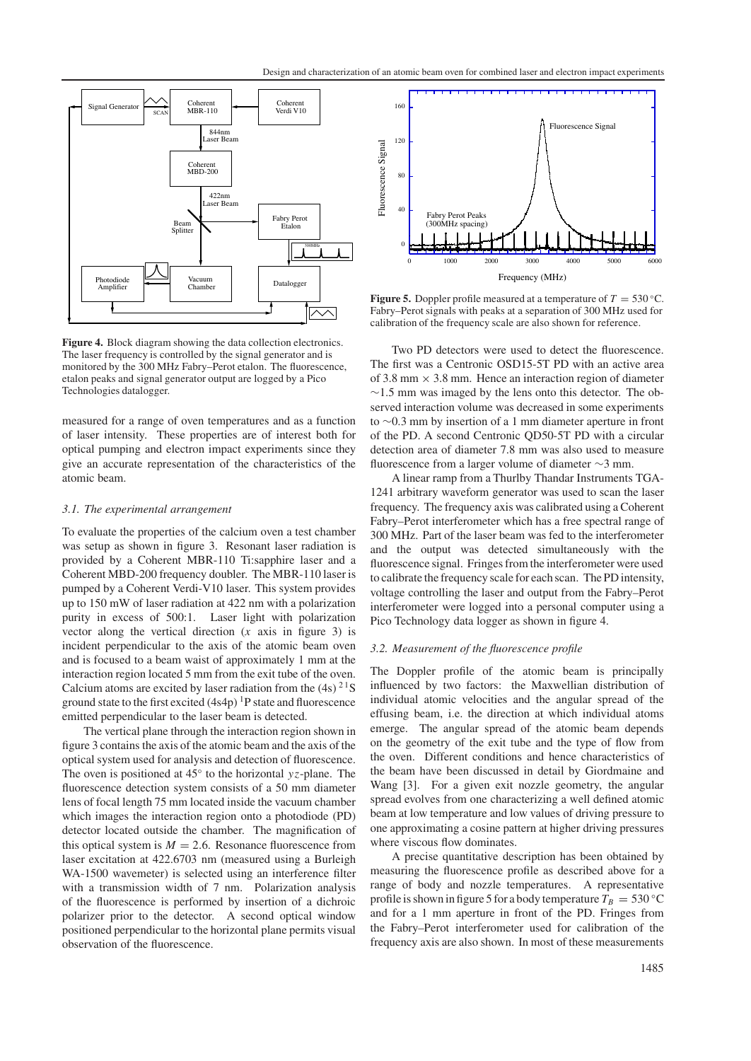

**Figure 4.** Block diagram showing the data collection electronics. The laser frequency is controlled by the signal generator and is monitored by the 300 MHz Fabry–Perot etalon. The fluorescence, etalon peaks and signal generator output are logged by a Pico Technologies datalogger.

measured for a range of oven temperatures and as a function of laser intensity. These properties are of interest both for optical pumping and electron impact experiments since they give an accurate representation of the characteristics of the atomic beam.

#### *3.1. The experimental arrangement*

To evaluate the properties of the calcium oven a test chamber was setup as shown in figure 3. Resonant laser radiation is provided by a Coherent MBR-110 Ti:sapphire laser and a Coherent MBD-200 frequency doubler. The MBR-110 laser is pumped by a Coherent Verdi-V10 laser. This system provides up to 150 mW of laser radiation at 422 nm with a polarization purity in excess of 500:1. Laser light with polarization vector along the vertical direction (*x* axis in figure 3) is incident perpendicular to the axis of the atomic beam oven and is focused to a beam waist of approximately 1 mm at the interaction region located 5 mm from the exit tube of the oven. Calcium atoms are excited by laser radiation from the  $(4s)$ <sup>21</sup>S ground state to the first excited  $(4s4p)^{1}P$  state and fluorescence emitted perpendicular to the laser beam is detected.

The vertical plane through the interaction region shown in figure 3 contains the axis of the atomic beam and the axis of the optical system used for analysis and detection of fluorescence. The oven is positioned at 45◦ to the horizontal *yz*-plane. The fluorescence detection system consists of a 50 mm diameter lens of focal length 75 mm located inside the vacuum chamber which images the interaction region onto a photodiode (PD) detector located outside the chamber. The magnification of this optical system is  $M = 2.6$ . Resonance fluorescence from laser excitation at 422.6703 nm (measured using a Burleigh WA-1500 wavemeter) is selected using an interference filter with a transmission width of 7 nm. Polarization analysis of the fluorescence is performed by insertion of a dichroic polarizer prior to the detector. A second optical window positioned perpendicular to the horizontal plane permits visual observation of the fluorescence.



**Figure 5.** Doppler profile measured at a temperature of  $T = 530 °C$ . Fabry–Perot signals with peaks at a separation of 300 MHz used for calibration of the frequency scale are also shown for reference.

Two PD detectors were used to detect the fluorescence. The first was a Centronic OSD15-5T PD with an active area of 3.8 mm  $\times$  3.8 mm. Hence an interaction region of diameter  $\sim$ 1.5 mm was imaged by the lens onto this detector. The observed interaction volume was decreased in some experiments to ∼0.3 mm by insertion of a 1 mm diameter aperture in front of the PD. A second Centronic QD50-5T PD with a circular detection area of diameter 7.8 mm was also used to measure fluorescence from a larger volume of diameter ∼3 mm.

A linear ramp from a Thurlby Thandar Instruments TGA-1241 arbitrary waveform generator was used to scan the laser frequency. The frequency axis was calibrated using a Coherent Fabry–Perot interferometer which has a free spectral range of 300 MHz. Part of the laser beam was fed to the interferometer and the output was detected simultaneously with the fluorescence signal. Fringes from the interferometer were used to calibrate the frequency scale for each scan. The PD intensity, voltage controlling the laser and output from the Fabry–Perot interferometer were logged into a personal computer using a Pico Technology data logger as shown in figure 4.

#### *3.2. Measurement of the fluorescence profile*

The Doppler profile of the atomic beam is principally influenced by two factors: the Maxwellian distribution of individual atomic velocities and the angular spread of the effusing beam, i.e. the direction at which individual atoms emerge. The angular spread of the atomic beam depends on the geometry of the exit tube and the type of flow from the oven. Different conditions and hence characteristics of the beam have been discussed in detail by Giordmaine and Wang [3]. For a given exit nozzle geometry, the angular spread evolves from one characterizing a well defined atomic beam at low temperature and low values of driving pressure to one approximating a cosine pattern at higher driving pressures where viscous flow dominates.

A precise quantitative description has been obtained by measuring the fluorescence profile as described above for a range of body and nozzle temperatures. A representative profile is shown in figure 5 for a body temperature  $T_B = 530 °C$ and for a 1 mm aperture in front of the PD. Fringes from the Fabry–Perot interferometer used for calibration of the frequency axis are also shown. In most of these measurements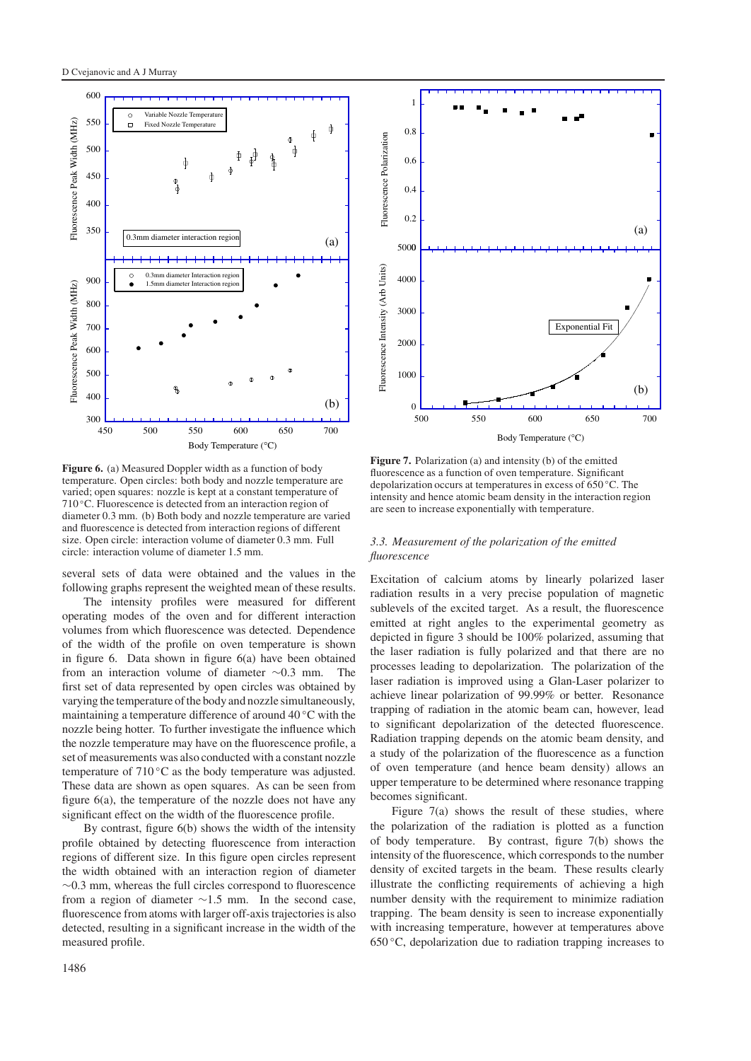

**Figure 6.** (a) Measured Doppler width as a function of body temperature. Open circles: both body and nozzle temperature are varied; open squares: nozzle is kept at a constant temperature of 710 ◦C. Fluorescence is detected from an interaction region of diameter 0.3 mm. (b) Both body and nozzle temperature are varied and fluorescence is detected from interaction regions of different size. Open circle: interaction volume of diameter 0.3 mm. Full circle: interaction volume of diameter 1.5 mm.

several sets of data were obtained and the values in the following graphs represent the weighted mean of these results.

The intensity profiles were measured for different operating modes of the oven and for different interaction volumes from which fluorescence was detected. Dependence of the width of the profile on oven temperature is shown in figure 6. Data shown in figure 6(a) have been obtained from an interaction volume of diameter ∼0.3 mm. The first set of data represented by open circles was obtained by varying the temperature of the body and nozzle simultaneously, maintaining a temperature difference of around 40 ◦C with the nozzle being hotter. To further investigate the influence which the nozzle temperature may have on the fluorescence profile, a set of measurements was also conducted with a constant nozzle temperature of 710 ℃ as the body temperature was adjusted. These data are shown as open squares. As can be seen from figure 6(a), the temperature of the nozzle does not have any significant effect on the width of the fluorescence profile.

By contrast, figure 6(b) shows the width of the intensity profile obtained by detecting fluorescence from interaction regions of different size. In this figure open circles represent the width obtained with an interaction region of diameter ∼0.3 mm, whereas the full circles correspond to fluorescence from a region of diameter ∼1.5 mm. In the second case, fluorescence from atoms with larger off-axis trajectories is also detected, resulting in a significant increase in the width of the measured profile.

![](_page_4_Figure_6.jpeg)

**Figure 7.** Polarization (a) and intensity (b) of the emitted fluorescence as a function of oven temperature. Significant depolarization occurs at temperatures in excess of 650 ◦C. The intensity and hence atomic beam density in the interaction region are seen to increase exponentially with temperature.

### *3.3. Measurement of the polarization of the emitted fluorescence*

Excitation of calcium atoms by linearly polarized laser radiation results in a very precise population of magnetic sublevels of the excited target. As a result, the fluorescence emitted at right angles to the experimental geometry as depicted in figure 3 should be 100% polarized, assuming that the laser radiation is fully polarized and that there are no processes leading to depolarization. The polarization of the laser radiation is improved using a Glan-Laser polarizer to achieve linear polarization of 99.99% or better. Resonance trapping of radiation in the atomic beam can, however, lead to significant depolarization of the detected fluorescence. Radiation trapping depends on the atomic beam density, and a study of the polarization of the fluorescence as a function of oven temperature (and hence beam density) allows an upper temperature to be determined where resonance trapping becomes significant.

Figure 7(a) shows the result of these studies, where the polarization of the radiation is plotted as a function of body temperature. By contrast, figure 7(b) shows the intensity of the fluorescence, which corresponds to the number density of excited targets in the beam. These results clearly illustrate the conflicting requirements of achieving a high number density with the requirement to minimize radiation trapping. The beam density is seen to increase exponentially with increasing temperature, however at temperatures above  $650 \degree C$ , depolarization due to radiation trapping increases to